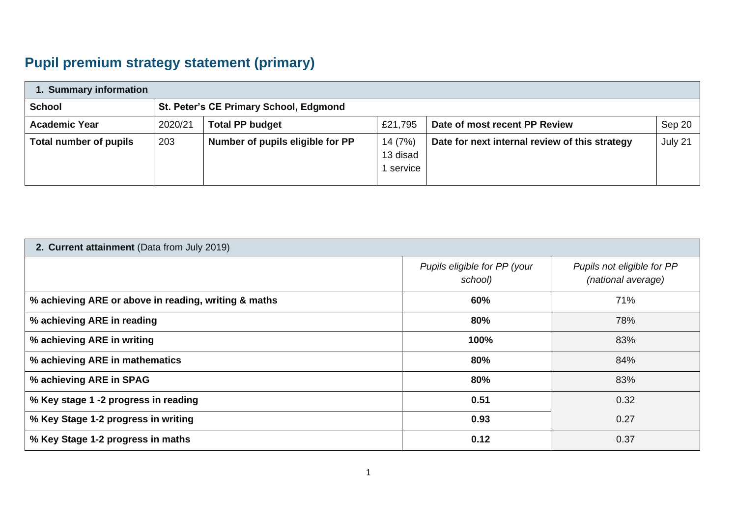## **Pupil premium strategy statement (primary)**

| 1. Summary information |                                        |                                  |                                  |                                                |         |  |  |
|------------------------|----------------------------------------|----------------------------------|----------------------------------|------------------------------------------------|---------|--|--|
| <b>School</b>          | St. Peter's CE Primary School, Edgmond |                                  |                                  |                                                |         |  |  |
| <b>Academic Year</b>   | 2020/21                                | <b>Total PP budget</b>           | £21,795                          | Date of most recent PP Review                  | Sep 20  |  |  |
| Total number of pupils | 203                                    | Number of pupils eligible for PP | 14 (7%)<br>13 disad<br>1 service | Date for next internal review of this strategy | July 21 |  |  |

## **2. Current attainment** (Data from July 2019)

|                                                      | Pupils eligible for PP (your<br>school) | Pupils not eligible for PP<br>(national average) |
|------------------------------------------------------|-----------------------------------------|--------------------------------------------------|
| % achieving ARE or above in reading, writing & maths | 60%                                     | 71%                                              |
| % achieving ARE in reading                           | 80%                                     | 78%                                              |
| % achieving ARE in writing                           | 100%                                    | 83%                                              |
| % achieving ARE in mathematics                       | 80%                                     | 84%                                              |
| % achieving ARE in SPAG                              | 80%                                     | 83%                                              |
| % Key stage 1 -2 progress in reading                 | 0.51                                    | 0.32                                             |
| % Key Stage 1-2 progress in writing                  | 0.93                                    | 0.27                                             |
| % Key Stage 1-2 progress in maths                    | 0.12                                    | 0.37                                             |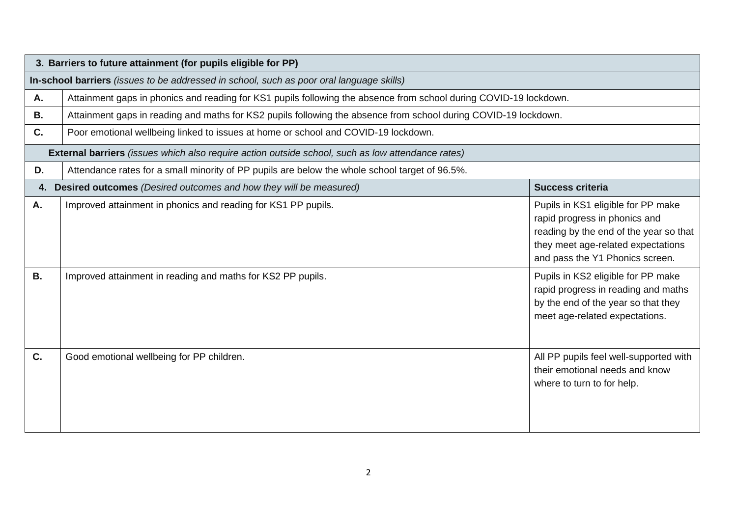|           | 3. Barriers to future attainment (for pupils eligible for PP)                                                     |                                                                                                                                                                                        |  |  |  |  |
|-----------|-------------------------------------------------------------------------------------------------------------------|----------------------------------------------------------------------------------------------------------------------------------------------------------------------------------------|--|--|--|--|
|           | In-school barriers (issues to be addressed in school, such as poor oral language skills)                          |                                                                                                                                                                                        |  |  |  |  |
| А.        | Attainment gaps in phonics and reading for KS1 pupils following the absence from school during COVID-19 lockdown. |                                                                                                                                                                                        |  |  |  |  |
| В.        | Attainment gaps in reading and maths for KS2 pupils following the absence from school during COVID-19 lockdown.   |                                                                                                                                                                                        |  |  |  |  |
| C.        | Poor emotional wellbeing linked to issues at home or school and COVID-19 lockdown.                                |                                                                                                                                                                                        |  |  |  |  |
|           | External barriers (issues which also require action outside school, such as low attendance rates)                 |                                                                                                                                                                                        |  |  |  |  |
| D.        | Attendance rates for a small minority of PP pupils are below the whole school target of 96.5%.                    |                                                                                                                                                                                        |  |  |  |  |
| 4.        | Desired outcomes (Desired outcomes and how they will be measured)                                                 | <b>Success criteria</b>                                                                                                                                                                |  |  |  |  |
| Α.        | Improved attainment in phonics and reading for KS1 PP pupils.                                                     | Pupils in KS1 eligible for PP make<br>rapid progress in phonics and<br>reading by the end of the year so that<br>they meet age-related expectations<br>and pass the Y1 Phonics screen. |  |  |  |  |
| <b>B.</b> | Improved attainment in reading and maths for KS2 PP pupils.                                                       | Pupils in KS2 eligible for PP make<br>rapid progress in reading and maths<br>by the end of the year so that they<br>meet age-related expectations.                                     |  |  |  |  |
| C.        | Good emotional wellbeing for PP children.                                                                         | All PP pupils feel well-supported with<br>their emotional needs and know<br>where to turn to for help.                                                                                 |  |  |  |  |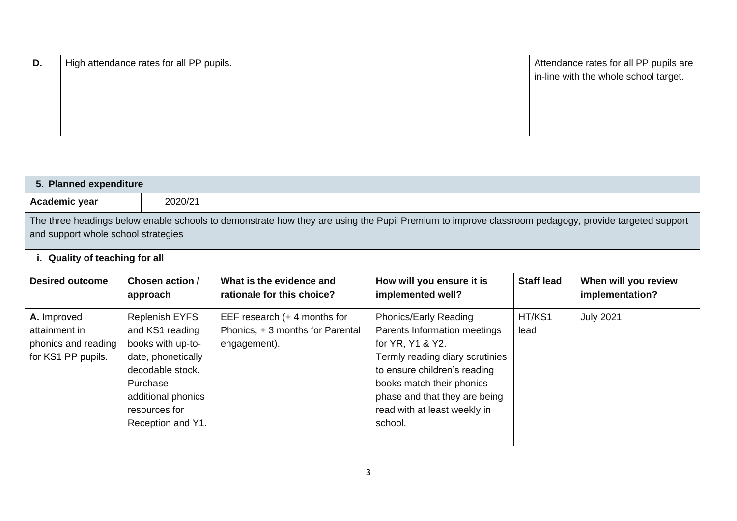| D. | High attendance rates for all PP pupils. | Attendance rates for all PP pupils are |
|----|------------------------------------------|----------------------------------------|
|    |                                          | in-line with the whole school target.  |
|    |                                          |                                        |
|    |                                          |                                        |
|    |                                          |                                        |
|    |                                          |                                        |

| 5. Planned expenditure                                                                                                                                                                     |                                                                                                                                                                                 |                                                                                   |                                                                                                                                                                                                                                                       |                   |                                         |
|--------------------------------------------------------------------------------------------------------------------------------------------------------------------------------------------|---------------------------------------------------------------------------------------------------------------------------------------------------------------------------------|-----------------------------------------------------------------------------------|-------------------------------------------------------------------------------------------------------------------------------------------------------------------------------------------------------------------------------------------------------|-------------------|-----------------------------------------|
| Academic year                                                                                                                                                                              | 2020/21                                                                                                                                                                         |                                                                                   |                                                                                                                                                                                                                                                       |                   |                                         |
| The three headings below enable schools to demonstrate how they are using the Pupil Premium to improve classroom pedagogy, provide targeted support<br>and support whole school strategies |                                                                                                                                                                                 |                                                                                   |                                                                                                                                                                                                                                                       |                   |                                         |
| i. Quality of teaching for all                                                                                                                                                             |                                                                                                                                                                                 |                                                                                   |                                                                                                                                                                                                                                                       |                   |                                         |
| <b>Desired outcome</b>                                                                                                                                                                     | Chosen action /<br>approach                                                                                                                                                     | What is the evidence and<br>rationale for this choice?                            | How will you ensure it is<br>implemented well?                                                                                                                                                                                                        | <b>Staff lead</b> | When will you review<br>implementation? |
| A. Improved<br>attainment in<br>phonics and reading<br>for KS1 PP pupils.                                                                                                                  | <b>Replenish EYFS</b><br>and KS1 reading<br>books with up-to-<br>date, phonetically<br>decodable stock.<br>Purchase<br>additional phonics<br>resources for<br>Reception and Y1. | EEF research $(+ 4$ months for<br>Phonics, +3 months for Parental<br>engagement). | Phonics/Early Reading<br>Parents Information meetings<br>for YR, Y1 & Y2.<br>Termly reading diary scrutinies<br>to ensure children's reading<br>books match their phonics<br>phase and that they are being<br>read with at least weekly in<br>school. | HT/KS1<br>lead    | <b>July 2021</b>                        |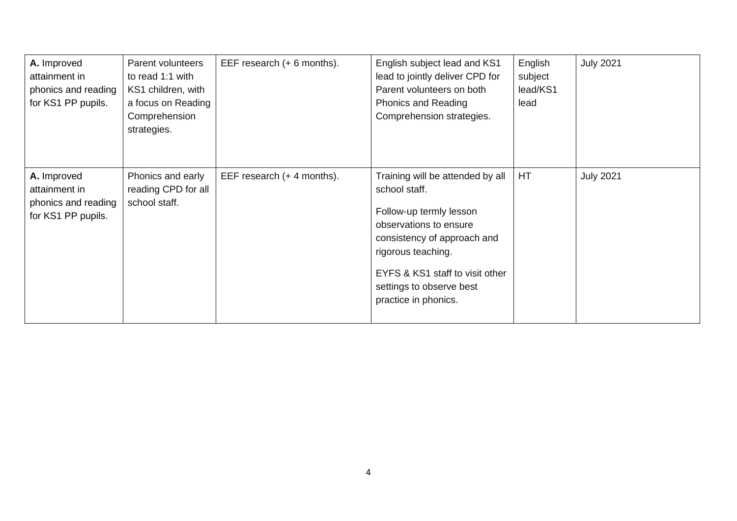| A. Improved<br>attainment in<br>phonics and reading<br>for KS1 PP pupils. | Parent volunteers<br>to read 1:1 with<br>KS1 children, with<br>a focus on Reading<br>Comprehension<br>strategies. | EEF research (+ 6 months). | English subject lead and KS1<br>lead to jointly deliver CPD for<br>Parent volunteers on both<br>Phonics and Reading<br>Comprehension strategies.                                                                                                   | English<br>subject<br>lead/KS1<br>lead | <b>July 2021</b> |
|---------------------------------------------------------------------------|-------------------------------------------------------------------------------------------------------------------|----------------------------|----------------------------------------------------------------------------------------------------------------------------------------------------------------------------------------------------------------------------------------------------|----------------------------------------|------------------|
| A. Improved<br>attainment in<br>phonics and reading<br>for KS1 PP pupils. | Phonics and early<br>reading CPD for all<br>school staff.                                                         | EEF research (+ 4 months). | Training will be attended by all<br>school staff.<br>Follow-up termly lesson<br>observations to ensure<br>consistency of approach and<br>rigorous teaching.<br>EYFS & KS1 staff to visit other<br>settings to observe best<br>practice in phonics. | HT                                     | <b>July 2021</b> |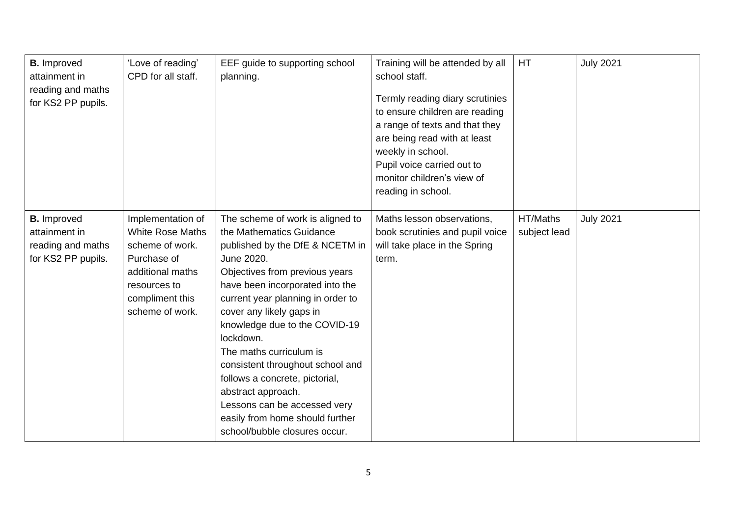| <b>B.</b> Improved<br>attainment in<br>reading and maths<br>for KS2 PP pupils. | 'Love of reading'<br>CPD for all staff.                                                                                                                  | EEF guide to supporting school<br>planning.                                                                                                                                                                                                                                                                                                                                                                                                                                                                                  | Training will be attended by all<br>school staff.<br>Termly reading diary scrutinies<br>to ensure children are reading<br>a range of texts and that they<br>are being read with at least<br>weekly in school.<br>Pupil voice carried out to<br>monitor children's view of<br>reading in school. | HT                       | <b>July 2021</b> |
|--------------------------------------------------------------------------------|----------------------------------------------------------------------------------------------------------------------------------------------------------|------------------------------------------------------------------------------------------------------------------------------------------------------------------------------------------------------------------------------------------------------------------------------------------------------------------------------------------------------------------------------------------------------------------------------------------------------------------------------------------------------------------------------|-------------------------------------------------------------------------------------------------------------------------------------------------------------------------------------------------------------------------------------------------------------------------------------------------|--------------------------|------------------|
| <b>B.</b> Improved<br>attainment in<br>reading and maths<br>for KS2 PP pupils. | Implementation of<br><b>White Rose Maths</b><br>scheme of work.<br>Purchase of<br>additional maths<br>resources to<br>compliment this<br>scheme of work. | The scheme of work is aligned to<br>the Mathematics Guidance<br>published by the DfE & NCETM in<br>June 2020.<br>Objectives from previous years<br>have been incorporated into the<br>current year planning in order to<br>cover any likely gaps in<br>knowledge due to the COVID-19<br>lockdown.<br>The maths curriculum is<br>consistent throughout school and<br>follows a concrete, pictorial,<br>abstract approach.<br>Lessons can be accessed very<br>easily from home should further<br>school/bubble closures occur. | Maths lesson observations,<br>book scrutinies and pupil voice<br>will take place in the Spring<br>term.                                                                                                                                                                                         | HT/Maths<br>subject lead | <b>July 2021</b> |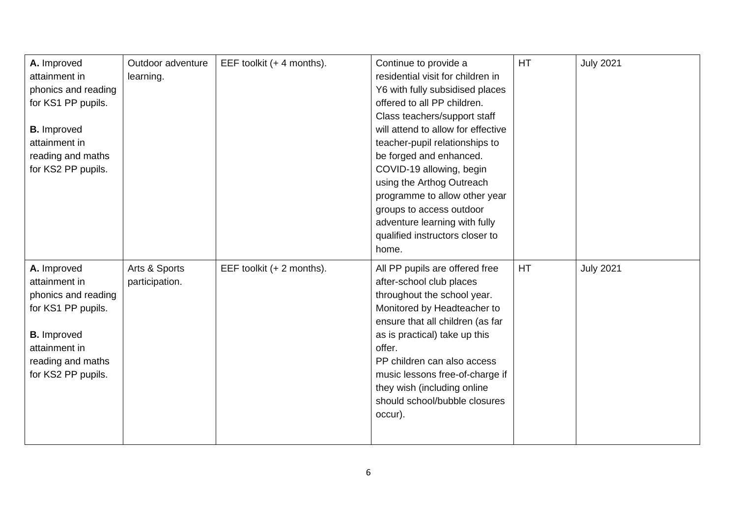| A. Improved<br>attainment in<br>phonics and reading<br>for KS1 PP pupils.<br><b>B.</b> Improved<br>attainment in<br>reading and maths<br>for KS2 PP pupils. | Outdoor adventure<br>learning.  | EEF toolkit (+ 4 months). | Continue to provide a<br>residential visit for children in<br>Y6 with fully subsidised places<br>offered to all PP children.<br>Class teachers/support staff<br>will attend to allow for effective<br>teacher-pupil relationships to<br>be forged and enhanced.<br>COVID-19 allowing, begin<br>using the Arthog Outreach<br>programme to allow other year<br>groups to access outdoor | <b>HT</b> | <b>July 2021</b> |
|-------------------------------------------------------------------------------------------------------------------------------------------------------------|---------------------------------|---------------------------|---------------------------------------------------------------------------------------------------------------------------------------------------------------------------------------------------------------------------------------------------------------------------------------------------------------------------------------------------------------------------------------|-----------|------------------|
|                                                                                                                                                             |                                 |                           | adventure learning with fully                                                                                                                                                                                                                                                                                                                                                         |           |                  |
|                                                                                                                                                             |                                 |                           | qualified instructors closer to<br>home.                                                                                                                                                                                                                                                                                                                                              |           |                  |
| A. Improved<br>attainment in<br>phonics and reading<br>for KS1 PP pupils.<br><b>B.</b> Improved<br>attainment in<br>reading and maths<br>for KS2 PP pupils. | Arts & Sports<br>participation. | EEF toolkit (+ 2 months). | All PP pupils are offered free<br>after-school club places<br>throughout the school year.<br>Monitored by Headteacher to<br>ensure that all children (as far<br>as is practical) take up this<br>offer.<br>PP children can also access<br>music lessons free-of-charge if<br>they wish (including online<br>should school/bubble closures<br>occur).                                  | HT        | <b>July 2021</b> |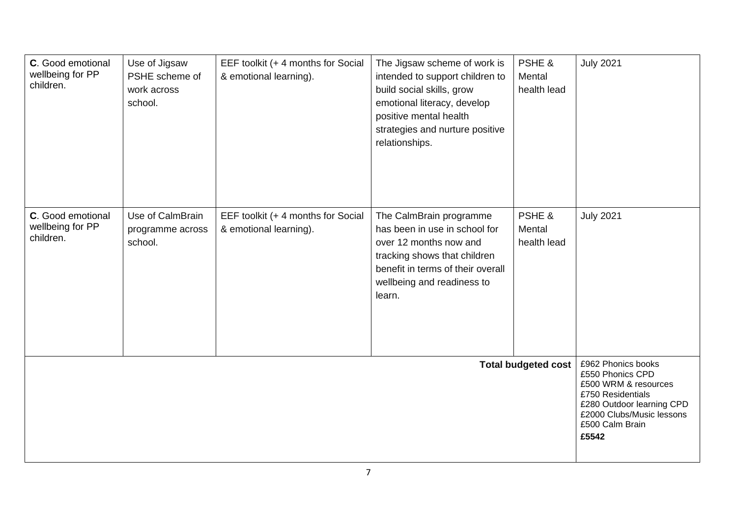| C. Good emotional<br>wellbeing for PP<br>children. | Use of Jigsaw<br>PSHE scheme of<br>work across<br>school. | EEF toolkit (+ 4 months for Social<br>& emotional learning). | The Jigsaw scheme of work is<br>intended to support children to<br>build social skills, grow<br>emotional literacy, develop<br>positive mental health<br>strategies and nurture positive<br>relationships. | PSHE &<br>Mental<br>health lead | <b>July 2021</b>                                                                                                                                                          |
|----------------------------------------------------|-----------------------------------------------------------|--------------------------------------------------------------|------------------------------------------------------------------------------------------------------------------------------------------------------------------------------------------------------------|---------------------------------|---------------------------------------------------------------------------------------------------------------------------------------------------------------------------|
| C. Good emotional<br>wellbeing for PP<br>children. | Use of CalmBrain<br>programme across<br>school.           | EEF toolkit (+ 4 months for Social<br>& emotional learning). | The CalmBrain programme<br>has been in use in school for<br>over 12 months now and<br>tracking shows that children<br>benefit in terms of their overall<br>wellbeing and readiness to<br>learn.            | PSHE &<br>Mental<br>health lead | <b>July 2021</b>                                                                                                                                                          |
| <b>Total budgeted cost</b>                         |                                                           |                                                              |                                                                                                                                                                                                            |                                 | £962 Phonics books<br>£550 Phonics CPD<br>£500 WRM & resources<br>£750 Residentials<br>£280 Outdoor learning CPD<br>£2000 Clubs/Music lessons<br>£500 Calm Brain<br>£5542 |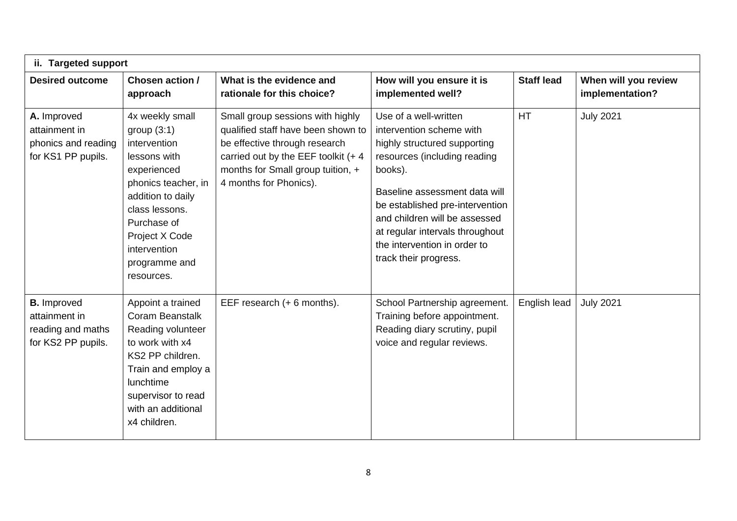| ii. Targeted support                                                           |                                                                                                                                                                                                                               |                                                                                                                                                                                                                  |                                                                                                                                                                                                                                                                                                                               |                   |                                         |  |
|--------------------------------------------------------------------------------|-------------------------------------------------------------------------------------------------------------------------------------------------------------------------------------------------------------------------------|------------------------------------------------------------------------------------------------------------------------------------------------------------------------------------------------------------------|-------------------------------------------------------------------------------------------------------------------------------------------------------------------------------------------------------------------------------------------------------------------------------------------------------------------------------|-------------------|-----------------------------------------|--|
| <b>Desired outcome</b>                                                         | Chosen action /<br>approach                                                                                                                                                                                                   | What is the evidence and<br>rationale for this choice?                                                                                                                                                           | How will you ensure it is<br>implemented well?                                                                                                                                                                                                                                                                                | <b>Staff lead</b> | When will you review<br>implementation? |  |
| A. Improved<br>attainment in<br>phonics and reading<br>for KS1 PP pupils.      | 4x weekly small<br>group $(3:1)$<br>intervention<br>lessons with<br>experienced<br>phonics teacher, in<br>addition to daily<br>class lessons.<br>Purchase of<br>Project X Code<br>intervention<br>programme and<br>resources. | Small group sessions with highly<br>qualified staff have been shown to<br>be effective through research<br>carried out by the EEF toolkit $(+ 4)$<br>months for Small group tuition, +<br>4 months for Phonics). | Use of a well-written<br>intervention scheme with<br>highly structured supporting<br>resources (including reading<br>books).<br>Baseline assessment data will<br>be established pre-intervention<br>and children will be assessed<br>at regular intervals throughout<br>the intervention in order to<br>track their progress. | <b>HT</b>         | <b>July 2021</b>                        |  |
| <b>B.</b> Improved<br>attainment in<br>reading and maths<br>for KS2 PP pupils. | Appoint a trained<br>Coram Beanstalk<br>Reading volunteer<br>to work with x4<br>KS2 PP children.<br>Train and employ a<br>lunchtime<br>supervisor to read<br>with an additional<br>x4 children.                               | EEF research (+ 6 months).                                                                                                                                                                                       | School Partnership agreement.<br>Training before appointment.<br>Reading diary scrutiny, pupil<br>voice and regular reviews.                                                                                                                                                                                                  | English lead      | <b>July 2021</b>                        |  |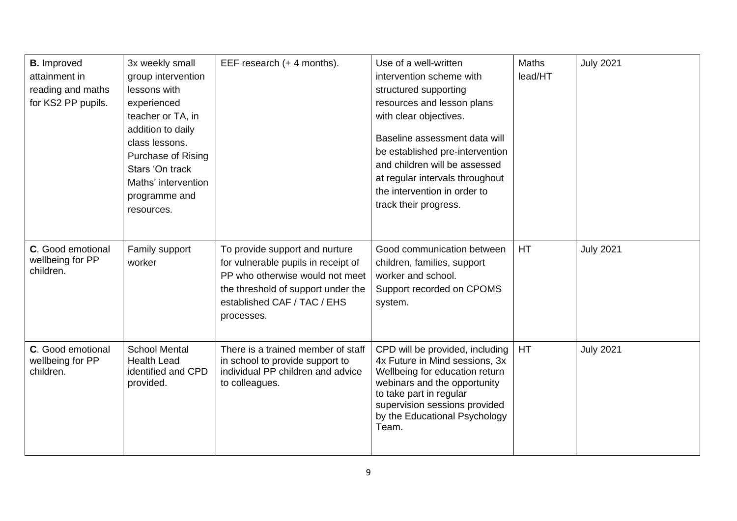| <b>B.</b> Improved<br>attainment in<br>reading and maths<br>for KS2 PP pupils. | 3x weekly small<br>group intervention<br>lessons with<br>experienced<br>teacher or TA, in<br>addition to daily<br>class lessons.<br>Purchase of Rising<br>Stars 'On track<br>Maths' intervention<br>programme and<br>resources. | EEF research (+ 4 months).                                                                                                                                                                  | Use of a well-written<br>intervention scheme with<br>structured supporting<br>resources and lesson plans<br>with clear objectives.<br>Baseline assessment data will<br>be established pre-intervention<br>and children will be assessed<br>at regular intervals throughout<br>the intervention in order to<br>track their progress. | Maths<br>lead/HT | <b>July 2021</b> |
|--------------------------------------------------------------------------------|---------------------------------------------------------------------------------------------------------------------------------------------------------------------------------------------------------------------------------|---------------------------------------------------------------------------------------------------------------------------------------------------------------------------------------------|-------------------------------------------------------------------------------------------------------------------------------------------------------------------------------------------------------------------------------------------------------------------------------------------------------------------------------------|------------------|------------------|
| C. Good emotional<br>wellbeing for PP<br>children.                             | Family support<br>worker                                                                                                                                                                                                        | To provide support and nurture<br>for vulnerable pupils in receipt of<br>PP who otherwise would not meet<br>the threshold of support under the<br>established CAF / TAC / EHS<br>processes. | Good communication between<br>children, families, support<br>worker and school.<br>Support recorded on CPOMS<br>system.                                                                                                                                                                                                             | <b>HT</b>        | <b>July 2021</b> |
| C. Good emotional<br>wellbeing for PP<br>children.                             | <b>School Mental</b><br><b>Health Lead</b><br>identified and CPD<br>provided.                                                                                                                                                   | There is a trained member of staff<br>in school to provide support to<br>individual PP children and advice<br>to colleagues.                                                                | CPD will be provided, including<br>4x Future in Mind sessions, 3x<br>Wellbeing for education return<br>webinars and the opportunity<br>to take part in regular<br>supervision sessions provided<br>by the Educational Psychology<br>Team.                                                                                           | <b>HT</b>        | <b>July 2021</b> |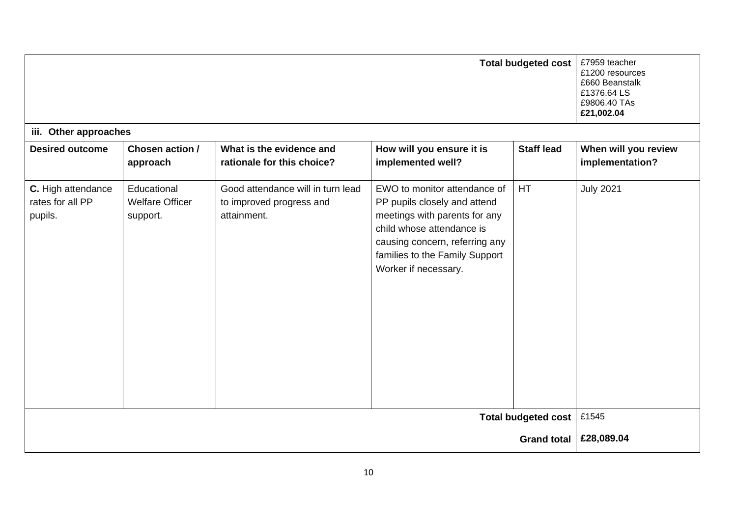|                                                   | <b>Total budgeted cost</b><br>£7959 teacher<br>£1200 resources<br>£660 Beanstalk<br>£1376.64 LS<br>£9806.40 TAs<br>£21,002.04 |                                                                              |                                                                                                                                                                                                                        |                    |                                         |
|---------------------------------------------------|-------------------------------------------------------------------------------------------------------------------------------|------------------------------------------------------------------------------|------------------------------------------------------------------------------------------------------------------------------------------------------------------------------------------------------------------------|--------------------|-----------------------------------------|
| iii. Other approaches                             |                                                                                                                               |                                                                              |                                                                                                                                                                                                                        |                    |                                         |
| <b>Desired outcome</b>                            | Chosen action /<br>approach                                                                                                   | What is the evidence and<br>rationale for this choice?                       | How will you ensure it is<br>implemented well?                                                                                                                                                                         | <b>Staff lead</b>  | When will you review<br>implementation? |
| C. High attendance<br>rates for all PP<br>pupils. | Educational<br><b>Welfare Officer</b><br>support.                                                                             | Good attendance will in turn lead<br>to improved progress and<br>attainment. | EWO to monitor attendance of<br>PP pupils closely and attend<br>meetings with parents for any<br>child whose attendance is<br>causing concern, referring any<br>families to the Family Support<br>Worker if necessary. | <b>HT</b>          | <b>July 2021</b>                        |
| <b>Total budgeted cost</b>                        |                                                                                                                               |                                                                              |                                                                                                                                                                                                                        |                    | £1545                                   |
|                                                   |                                                                                                                               |                                                                              |                                                                                                                                                                                                                        | <b>Grand total</b> | £28,089.04                              |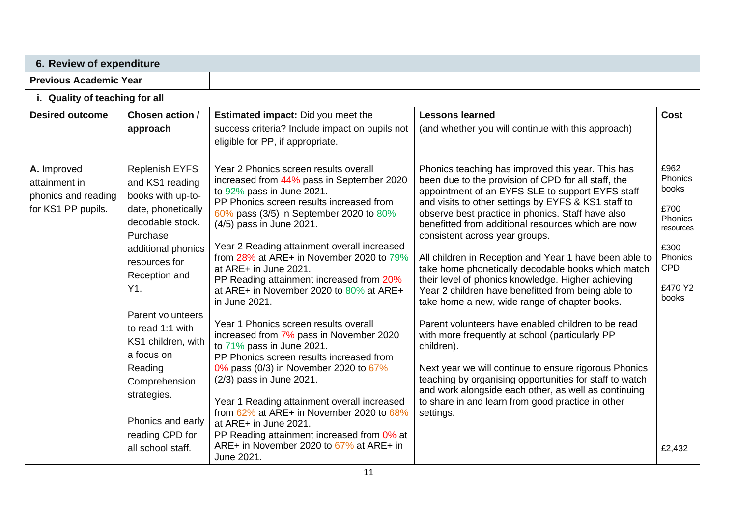| 6. Review of expenditure                                                  |                                                                                                                                                                                                                                                                                                                                                                         |                                                                                                                                                                                                                                                                                                                                                                                                                                                                                                                                                                                                                                                                                                                                                                                                                                                                                                                                   |                                                                                                                                                                                                                                                                                                                                                                                                                                                                                                                                                                                                                                                                                                                                                                                                                                                                                                                                                                                                                    |                                                                                                                         |  |
|---------------------------------------------------------------------------|-------------------------------------------------------------------------------------------------------------------------------------------------------------------------------------------------------------------------------------------------------------------------------------------------------------------------------------------------------------------------|-----------------------------------------------------------------------------------------------------------------------------------------------------------------------------------------------------------------------------------------------------------------------------------------------------------------------------------------------------------------------------------------------------------------------------------------------------------------------------------------------------------------------------------------------------------------------------------------------------------------------------------------------------------------------------------------------------------------------------------------------------------------------------------------------------------------------------------------------------------------------------------------------------------------------------------|--------------------------------------------------------------------------------------------------------------------------------------------------------------------------------------------------------------------------------------------------------------------------------------------------------------------------------------------------------------------------------------------------------------------------------------------------------------------------------------------------------------------------------------------------------------------------------------------------------------------------------------------------------------------------------------------------------------------------------------------------------------------------------------------------------------------------------------------------------------------------------------------------------------------------------------------------------------------------------------------------------------------|-------------------------------------------------------------------------------------------------------------------------|--|
| <b>Previous Academic Year</b>                                             |                                                                                                                                                                                                                                                                                                                                                                         |                                                                                                                                                                                                                                                                                                                                                                                                                                                                                                                                                                                                                                                                                                                                                                                                                                                                                                                                   |                                                                                                                                                                                                                                                                                                                                                                                                                                                                                                                                                                                                                                                                                                                                                                                                                                                                                                                                                                                                                    |                                                                                                                         |  |
| i. Quality of teaching for all                                            |                                                                                                                                                                                                                                                                                                                                                                         |                                                                                                                                                                                                                                                                                                                                                                                                                                                                                                                                                                                                                                                                                                                                                                                                                                                                                                                                   |                                                                                                                                                                                                                                                                                                                                                                                                                                                                                                                                                                                                                                                                                                                                                                                                                                                                                                                                                                                                                    |                                                                                                                         |  |
| <b>Desired outcome</b>                                                    | Chosen action /<br>approach                                                                                                                                                                                                                                                                                                                                             | <b>Estimated impact:</b> Did you meet the<br>success criteria? Include impact on pupils not<br>eligible for PP, if appropriate.                                                                                                                                                                                                                                                                                                                                                                                                                                                                                                                                                                                                                                                                                                                                                                                                   | <b>Lessons learned</b><br>(and whether you will continue with this approach)                                                                                                                                                                                                                                                                                                                                                                                                                                                                                                                                                                                                                                                                                                                                                                                                                                                                                                                                       | <b>Cost</b>                                                                                                             |  |
| A. Improved<br>attainment in<br>phonics and reading<br>for KS1 PP pupils. | <b>Replenish EYFS</b><br>and KS1 reading<br>books with up-to-<br>date, phonetically<br>decodable stock.<br>Purchase<br>additional phonics<br>resources for<br>Reception and<br>Y1.<br>Parent volunteers<br>to read 1:1 with<br>KS1 children, with<br>a focus on<br>Reading<br>Comprehension<br>strategies.<br>Phonics and early<br>reading CPD for<br>all school staff. | Year 2 Phonics screen results overall<br>increased from 44% pass in September 2020<br>to 92% pass in June 2021.<br>PP Phonics screen results increased from<br>60% pass (3/5) in September 2020 to 80%<br>(4/5) pass in June 2021.<br>Year 2 Reading attainment overall increased<br>from 28% at ARE+ in November 2020 to 79%<br>at ARE+ in June 2021.<br>PP Reading attainment increased from 20%<br>at ARE+ in November 2020 to 80% at ARE+<br>in June 2021.<br>Year 1 Phonics screen results overall<br>increased from 7% pass in November 2020<br>to $71\%$ pass in June 2021.<br>PP Phonics screen results increased from<br>0% pass (0/3) in November 2020 to 67%<br>(2/3) pass in June 2021.<br>Year 1 Reading attainment overall increased<br>from 62% at ARE+ in November 2020 to 68%<br>at ARE+ in June 2021.<br>PP Reading attainment increased from 0% at<br>ARE+ in November 2020 to $67\%$ at ARE+ in<br>June 2021. | Phonics teaching has improved this year. This has<br>been due to the provision of CPD for all staff, the<br>appointment of an EYFS SLE to support EYFS staff<br>and visits to other settings by EYFS & KS1 staff to<br>observe best practice in phonics. Staff have also<br>benefitted from additional resources which are now<br>consistent across year groups.<br>All children in Reception and Year 1 have been able to<br>take home phonetically decodable books which match<br>their level of phonics knowledge. Higher achieving<br>Year 2 children have benefitted from being able to<br>take home a new, wide range of chapter books.<br>Parent volunteers have enabled children to be read<br>with more frequently at school (particularly PP<br>children).<br>Next year we will continue to ensure rigorous Phonics<br>teaching by organising opportunities for staff to watch<br>and work alongside each other, as well as continuing<br>to share in and learn from good practice in other<br>settings. | £962<br>Phonics<br>books<br>£700<br>Phonics<br>resources<br>£300<br>Phonics<br><b>CPD</b><br>£470 Y2<br>books<br>£2,432 |  |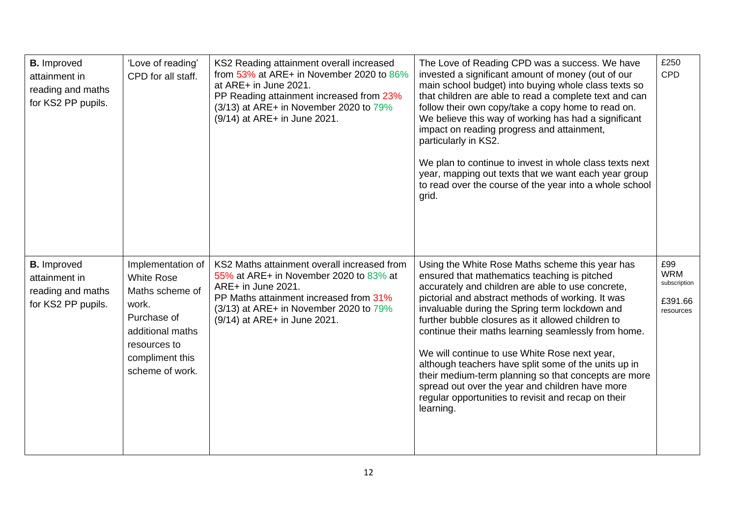| <b>B.</b> Improved<br>attainment in<br>reading and maths<br>for KS2 PP pupils. | 'Love of reading'<br>CPD for all staff.                                                                                                                     | KS2 Reading attainment overall increased<br>from $53\%$ at ARE+ in November 2020 to $86\%$<br>at ARE+ in June 2021.<br>PP Reading attainment increased from 23%<br>$(3/13)$ at ARE+ in November 2020 to 79%<br>(9/14) at ARE+ in June 2021. | The Love of Reading CPD was a success. We have<br>invested a significant amount of money (out of our<br>main school budget) into buying whole class texts so<br>that children are able to read a complete text and can<br>follow their own copy/take a copy home to read on.<br>We believe this way of working has had a significant<br>impact on reading progress and attainment,<br>particularly in KS2.<br>We plan to continue to invest in whole class texts next<br>year, mapping out texts that we want each year group<br>to read over the course of the year into a whole school<br>grid.                                                               | £250<br>CPD                                               |
|--------------------------------------------------------------------------------|-------------------------------------------------------------------------------------------------------------------------------------------------------------|---------------------------------------------------------------------------------------------------------------------------------------------------------------------------------------------------------------------------------------------|-----------------------------------------------------------------------------------------------------------------------------------------------------------------------------------------------------------------------------------------------------------------------------------------------------------------------------------------------------------------------------------------------------------------------------------------------------------------------------------------------------------------------------------------------------------------------------------------------------------------------------------------------------------------|-----------------------------------------------------------|
| <b>B.</b> Improved<br>attainment in<br>reading and maths<br>for KS2 PP pupils. | Implementation of<br><b>White Rose</b><br>Maths scheme of<br>work.<br>Purchase of<br>additional maths<br>resources to<br>compliment this<br>scheme of work. | KS2 Maths attainment overall increased from<br>55% at ARE+ in November 2020 to 83% at<br>ARE+ in June 2021.<br>PP Maths attainment increased from 31%<br>$(3/13)$ at ARE+ in November 2020 to 79%<br>(9/14) at ARE+ in June 2021.           | Using the White Rose Maths scheme this year has<br>ensured that mathematics teaching is pitched<br>accurately and children are able to use concrete,<br>pictorial and abstract methods of working. It was<br>invaluable during the Spring term lockdown and<br>further bubble closures as it allowed children to<br>continue their maths learning seamlessly from home.<br>We will continue to use White Rose next year,<br>although teachers have split some of the units up in<br>their medium-term planning so that concepts are more<br>spread out over the year and children have more<br>regular opportunities to revisit and recap on their<br>learning. | £99<br><b>WRM</b><br>subscription<br>£391.66<br>resources |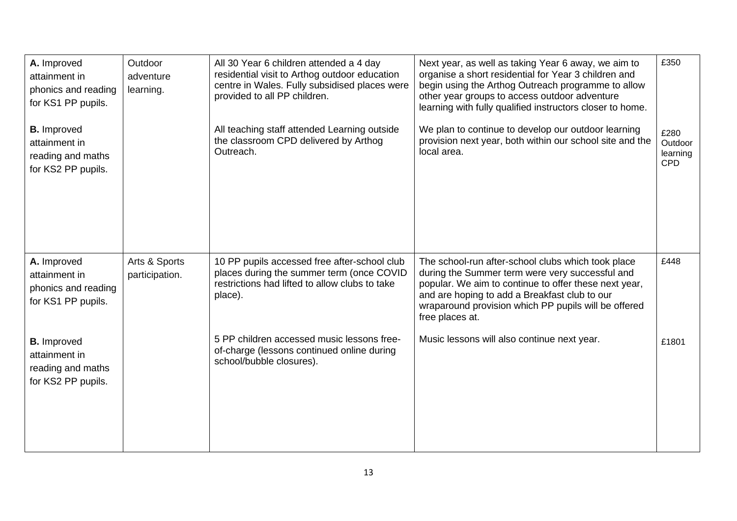| A. Improved<br>attainment in<br>phonics and reading<br>for KS1 PP pupils.<br><b>B.</b> Improved<br>attainment in<br>reading and maths<br>for KS2 PP pupils. | Outdoor<br>adventure<br>learning. | All 30 Year 6 children attended a 4 day<br>residential visit to Arthog outdoor education<br>centre in Wales. Fully subsidised places were<br>provided to all PP children.<br>All teaching staff attended Learning outside<br>the classroom CPD delivered by Arthog<br>Outreach. | Next year, as well as taking Year 6 away, we aim to<br>organise a short residential for Year 3 children and<br>begin using the Arthog Outreach programme to allow<br>other year groups to access outdoor adventure<br>learning with fully qualified instructors closer to home.<br>We plan to continue to develop our outdoor learning<br>provision next year, both within our school site and the<br>local area. | £350<br>£280<br>Outdoor<br>learning<br><b>CPD</b> |
|-------------------------------------------------------------------------------------------------------------------------------------------------------------|-----------------------------------|---------------------------------------------------------------------------------------------------------------------------------------------------------------------------------------------------------------------------------------------------------------------------------|-------------------------------------------------------------------------------------------------------------------------------------------------------------------------------------------------------------------------------------------------------------------------------------------------------------------------------------------------------------------------------------------------------------------|---------------------------------------------------|
| A. Improved<br>attainment in<br>phonics and reading<br>for KS1 PP pupils.                                                                                   | Arts & Sports<br>participation.   | 10 PP pupils accessed free after-school club<br>places during the summer term (once COVID<br>restrictions had lifted to allow clubs to take<br>place).                                                                                                                          | The school-run after-school clubs which took place<br>during the Summer term were very successful and<br>popular. We aim to continue to offer these next year,<br>and are hoping to add a Breakfast club to our<br>wraparound provision which PP pupils will be offered<br>free places at.                                                                                                                        | £448                                              |
| <b>B.</b> Improved<br>attainment in<br>reading and maths<br>for KS2 PP pupils.                                                                              |                                   | 5 PP children accessed music lessons free-<br>of-charge (lessons continued online during<br>school/bubble closures).                                                                                                                                                            | Music lessons will also continue next year.                                                                                                                                                                                                                                                                                                                                                                       | £1801                                             |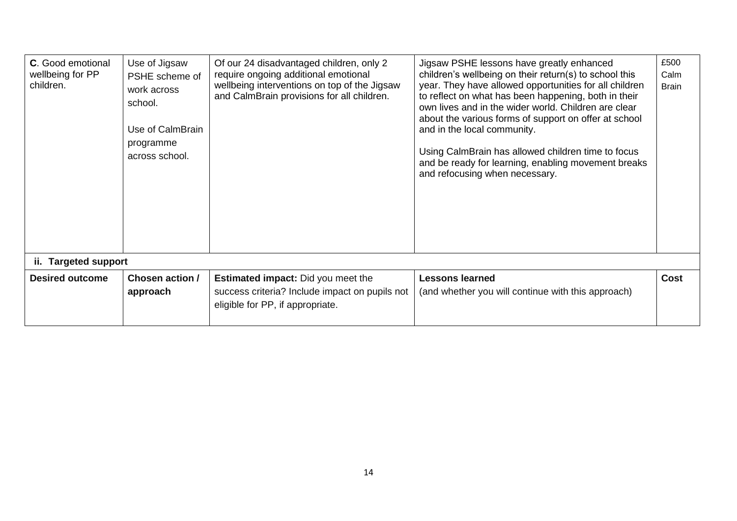| <b>C.</b> Good emotional<br>wellbeing for PP<br>children.<br>ii. Targeted support | Use of Jigsaw<br>PSHE scheme of<br>work across<br>school.<br>Use of CalmBrain<br>programme<br>across school. | Of our 24 disadvantaged children, only 2<br>require ongoing additional emotional<br>wellbeing interventions on top of the Jigsaw<br>and CalmBrain provisions for all children. | Jigsaw PSHE lessons have greatly enhanced<br>children's wellbeing on their return(s) to school this<br>year. They have allowed opportunities for all children<br>to reflect on what has been happening, both in their<br>own lives and in the wider world. Children are clear<br>about the various forms of support on offer at school<br>and in the local community.<br>Using CalmBrain has allowed children time to focus<br>and be ready for learning, enabling movement breaks<br>and refocusing when necessary. | £500<br>Calm<br><b>Brain</b> |
|-----------------------------------------------------------------------------------|--------------------------------------------------------------------------------------------------------------|--------------------------------------------------------------------------------------------------------------------------------------------------------------------------------|----------------------------------------------------------------------------------------------------------------------------------------------------------------------------------------------------------------------------------------------------------------------------------------------------------------------------------------------------------------------------------------------------------------------------------------------------------------------------------------------------------------------|------------------------------|
| <b>Desired outcome</b>                                                            | Chosen action /                                                                                              | <b>Estimated impact:</b> Did you meet the                                                                                                                                      | <b>Lessons learned</b>                                                                                                                                                                                                                                                                                                                                                                                                                                                                                               | <b>Cost</b>                  |
|                                                                                   | approach                                                                                                     | success criteria? Include impact on pupils not<br>eligible for PP, if appropriate.                                                                                             | (and whether you will continue with this approach)                                                                                                                                                                                                                                                                                                                                                                                                                                                                   |                              |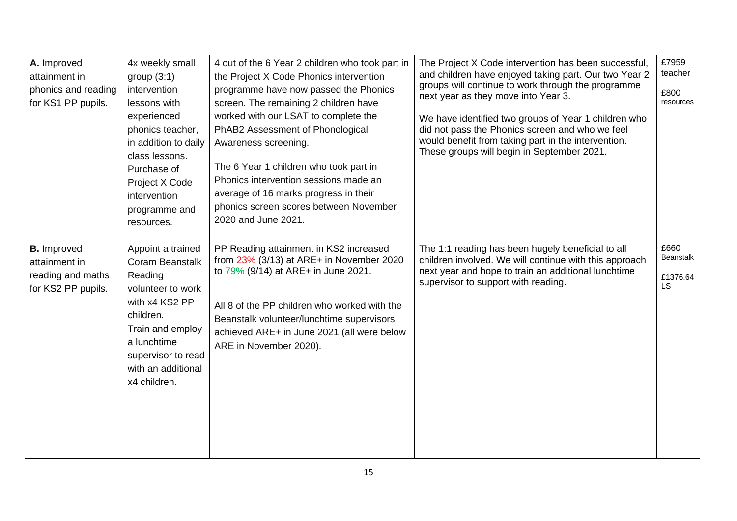| A. Improved<br>attainment in<br>phonics and reading<br>for KS1 PP pupils. | 4x weekly small<br>group $(3:1)$<br>intervention<br>lessons with<br>experienced<br>phonics teacher,<br>in addition to daily<br>class lessons.<br>Purchase of                         | 4 out of the 6 Year 2 children who took part in<br>the Project X Code Phonics intervention<br>programme have now passed the Phonics<br>screen. The remaining 2 children have<br>worked with our LSAT to complete the<br>PhAB2 Assessment of Phonological<br>Awareness screening.<br>The 6 Year 1 children who took part in | The Project X Code intervention has been successful,<br>and children have enjoyed taking part. Our two Year 2<br>groups will continue to work through the programme<br>next year as they move into Year 3.<br>We have identified two groups of Year 1 children who<br>did not pass the Phonics screen and who we feel<br>would benefit from taking part in the intervention.<br>These groups will begin in September 2021. | £7959<br>teacher<br>£800<br>resources |
|---------------------------------------------------------------------------|--------------------------------------------------------------------------------------------------------------------------------------------------------------------------------------|----------------------------------------------------------------------------------------------------------------------------------------------------------------------------------------------------------------------------------------------------------------------------------------------------------------------------|----------------------------------------------------------------------------------------------------------------------------------------------------------------------------------------------------------------------------------------------------------------------------------------------------------------------------------------------------------------------------------------------------------------------------|---------------------------------------|
| <b>B.</b> Improved                                                        | Project X Code<br>intervention<br>programme and<br>resources.<br>Appoint a trained                                                                                                   | Phonics intervention sessions made an<br>average of 16 marks progress in their<br>phonics screen scores between November<br>2020 and June 2021.<br>PP Reading attainment in KS2 increased                                                                                                                                  | The 1:1 reading has been hugely beneficial to all                                                                                                                                                                                                                                                                                                                                                                          | £660                                  |
| attainment in<br>reading and maths<br>for KS2 PP pupils.                  | <b>Coram Beanstalk</b><br>Reading<br>volunteer to work<br>with x4 KS2 PP<br>children.<br>Train and employ<br>a lunchtime<br>supervisor to read<br>with an additional<br>x4 children. | from $23\%$ (3/13) at ARE+ in November 2020<br>to 79% (9/14) at ARE+ in June 2021.<br>All 8 of the PP children who worked with the<br>Beanstalk volunteer/lunchtime supervisors<br>achieved ARE+ in June 2021 (all were below<br>ARE in November 2020).                                                                    | children involved. We will continue with this approach<br>next year and hope to train an additional lunchtime<br>supervisor to support with reading.                                                                                                                                                                                                                                                                       | <b>Beanstalk</b><br>£1376.64<br>LS    |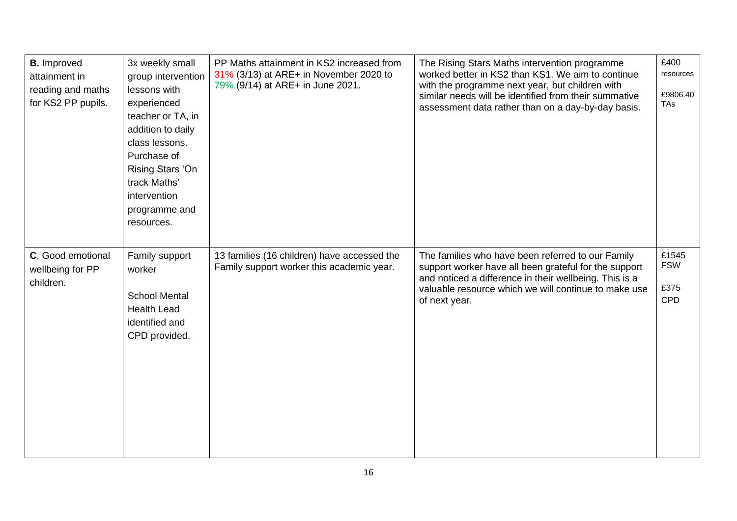| <b>B.</b> Improved<br>attainment in<br>reading and maths<br>for KS2 PP pupils. | 3x weekly small<br>group intervention<br>lessons with<br>experienced<br>teacher or TA, in<br>addition to daily<br>class lessons.<br>Purchase of<br>Rising Stars 'On<br>track Maths'<br>intervention<br>programme and<br>resources. | PP Maths attainment in KS2 increased from<br>31% (3/13) at ARE+ in November 2020 to<br>79% (9/14) at ARE+ in June 2021. | The Rising Stars Maths intervention programme<br>worked better in KS2 than KS1. We aim to continue<br>with the programme next year, but children with<br>similar needs will be identified from their summative<br>assessment data rather than on a day-by-day basis. | £400<br>resources<br>£9806.40<br>TAs |
|--------------------------------------------------------------------------------|------------------------------------------------------------------------------------------------------------------------------------------------------------------------------------------------------------------------------------|-------------------------------------------------------------------------------------------------------------------------|----------------------------------------------------------------------------------------------------------------------------------------------------------------------------------------------------------------------------------------------------------------------|--------------------------------------|
| C. Good emotional<br>wellbeing for PP<br>children.                             | Family support<br>worker<br><b>School Mental</b><br><b>Health Lead</b><br>identified and<br>CPD provided.                                                                                                                          | 13 families (16 children) have accessed the<br>Family support worker this academic year.                                | The families who have been referred to our Family<br>support worker have all been grateful for the support<br>and noticed a difference in their wellbeing. This is a<br>valuable resource which we will continue to make use<br>of next year.                        | £1545<br><b>FSW</b><br>£375<br>CPD   |